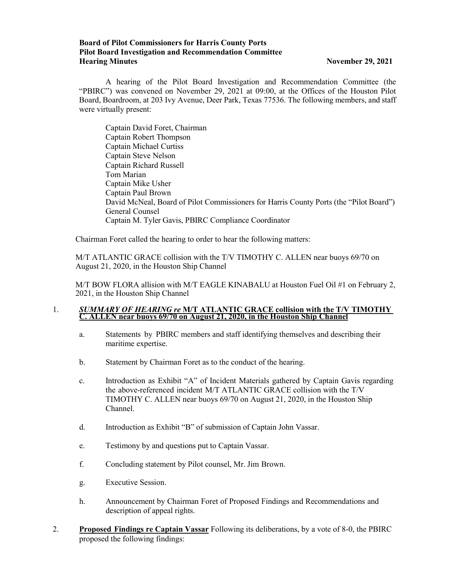### **Board of Pilot Commissioners for Harris County Ports Pilot Board Investigation and Recommendation Committee Hearing Minutes November 29, 2021**

A hearing of the Pilot Board Investigation and Recommendation Committee (the "PBIRC") was convened on November 29, 2021 at 09:00, at the Offices of the Houston Pilot Board, Boardroom, at 203 Ivy Avenue, Deer Park, Texas 77536. The following members, and staff were virtually present:

Captain David Foret, Chairman Captain Robert Thompson Captain Michael Curtiss Captain Steve Nelson Captain Richard Russell Tom Marian Captain Mike Usher Captain Paul Brown David McNeal, Board of Pilot Commissioners for Harris County Ports (the "Pilot Board") General Counsel Captain M. Tyler Gavis, PBIRC Compliance Coordinator

Chairman Foret called the hearing to order to hear the following matters:

M/T ATLANTIC GRACE collision with the T/V TIMOTHY C. ALLEN near buoys 69/70 on August 21, 2020, in the Houston Ship Channel

M/T BOW FLORA allision with M/T EAGLE KINABALU at Houston Fuel Oil #1 on February 2, 2021, in the Houston Ship Channel

### 1. *SUMMARY OF HEARING re* **M/T ATLANTIC GRACE collision with the T/V TIMOTHY C. ALLEN near buoys 69/70 on August 21, 2020, in the Houston Ship Channel**

- a. Statements by PBIRC members and staff identifying themselves and describing their maritime expertise.
- b. Statement by Chairman Foret as to the conduct of the hearing.
- c. Introduction as Exhibit "A" of Incident Materials gathered by Captain Gavis regarding the above-referenced incident M/T ATLANTIC GRACE collision with the T/V TIMOTHY C. ALLEN near buoys 69/70 on August 21, 2020, in the Houston Ship Channel.
- d. Introduction as Exhibit "B" of submission of Captain John Vassar.
- e. Testimony by and questions put to Captain Vassar.
- f. Concluding statement by Pilot counsel, Mr. Jim Brown.
- g. Executive Session.
- h. Announcement by Chairman Foret of Proposed Findings and Recommendations and description of appeal rights.
- 2. **Proposed Findings re Captain Vassar** Following its deliberations, by a vote of 8-0, the PBIRC proposed the following findings: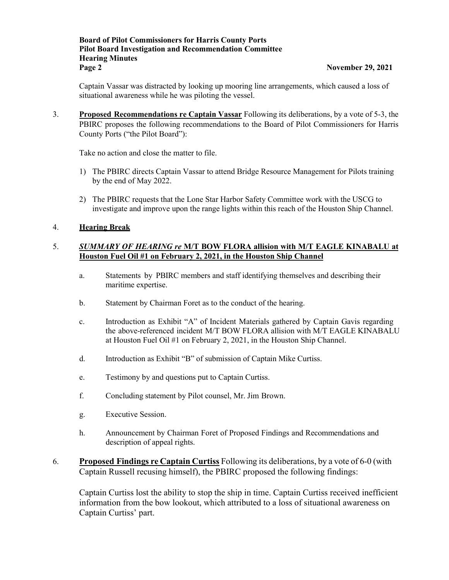## **Board of Pilot Commissioners for Harris County Ports Pilot Board Investigation and Recommendation Committee Hearing Minutes Page 2 November 29, 2021**

Captain Vassar was distracted by looking up mooring line arrangements, which caused a loss of situational awareness while he was piloting the vessel.

3. **Proposed Recommendations re Captain Vassar** Following its deliberations, by a vote of 5-3, the PBIRC proposes the following recommendations to the Board of Pilot Commissioners for Harris County Ports ("the Pilot Board"):

Take no action and close the matter to file.

- 1) The PBIRC directs Captain Vassar to attend Bridge Resource Management for Pilots training by the end of May 2022.
- 2) The PBIRC requests that the Lone Star Harbor Safety Committee work with the USCG to investigate and improve upon the range lights within this reach of the Houston Ship Channel.

## 4. **Hearing Break**

# 5. *SUMMARY OF HEARING re* **M/T BOW FLORA allision with M/T EAGLE KINABALU at Houston Fuel Oil #1 on February 2, 2021, in the Houston Ship Channel**

- a. Statements by PBIRC members and staff identifying themselves and describing their maritime expertise.
- b. Statement by Chairman Foret as to the conduct of the hearing.
- c. Introduction as Exhibit "A" of Incident Materials gathered by Captain Gavis regarding the above-referenced incident M/T BOW FLORA allision with M/T EAGLE KINABALU at Houston Fuel Oil #1 on February 2, 2021, in the Houston Ship Channel.
- d. Introduction as Exhibit "B" of submission of Captain Mike Curtiss.
- e. Testimony by and questions put to Captain Curtiss.
- f. Concluding statement by Pilot counsel, Mr. Jim Brown.
- g. Executive Session.
- h. Announcement by Chairman Foret of Proposed Findings and Recommendations and description of appeal rights.
- 6. **Proposed Findings re Captain Curtiss** Following its deliberations, by a vote of 6-0 (with Captain Russell recusing himself), the PBIRC proposed the following findings:

Captain Curtiss lost the ability to stop the ship in time. Captain Curtiss received inefficient information from the bow lookout, which attributed to a loss of situational awareness on Captain Curtiss' part.